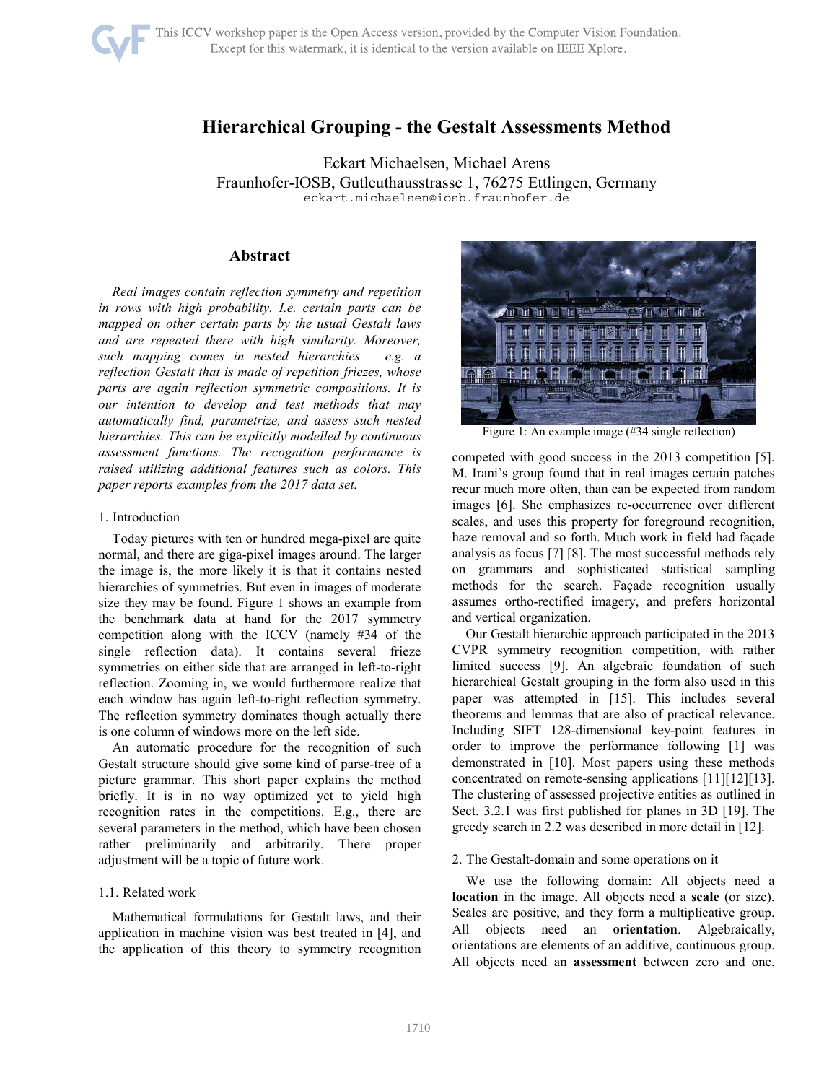# **Hierarchical Grouping - the Gestalt Assessments Method**

Eckart Michaelsen, Michael Arens Fraunhofer-IOSB, Gutleuthausstrasse 1, 76275 Ettlingen, Germany eckart.michaelsen@iosb.fraunhofer.de

# **Abstract**

*Real images contain reflection symmetry and repetition in rows with high probability. I.e. certain parts can be mapped on other certain parts by the usual Gestalt laws and are repeated there with high similarity. Moreover, such mapping comes in nested hierarchies – e.g. a reflection Gestalt that is made of repetition friezes, whose parts are again reflection symmetric compositions. It is our intention to develop and test methods that may automatically find, parametrize, and assess such nested hierarchies. This can be explicitly modelled by continuous assessment functions. The recognition performance is raised utilizing additional features such as colors. This paper reports examples from the 2017 data set.* 

## 1. Introduction

Today pictures with ten or hundred mega-pixel are quite normal, and there are giga-pixel images around. The larger the image is, the more likely it is that it contains nested hierarchies of symmetries. But even in images of moderate size they may be found. Figure 1 shows an example from the benchmark data at hand for the 2017 symmetry competition along with the ICCV (namely #34 of the single reflection data). It contains several frieze symmetries on either side that are arranged in left-to-right reflection. Zooming in, we would furthermore realize that each window has again left-to-right reflection symmetry. The reflection symmetry dominates though actually there is one column of windows more on the left side.

An automatic procedure for the recognition of such Gestalt structure should give some kind of parse-tree of a picture grammar. This short paper explains the method briefly. It is in no way optimized yet to yield high recognition rates in the competitions. E.g., there are several parameters in the method, which have been chosen rather preliminarily and arbitrarily. There proper adjustment will be a topic of future work.

## 1.1. Related work

Mathematical formulations for Gestalt laws, and their application in machine vision was best treated in [4], and the application of this theory to symmetry recognition



Figure 1: An example image (#34 single reflection)

competed with good success in the 2013 competition [5]. M. Irani's group found that in real images certain patches recur much more often, than can be expected from random images [6]. She emphasizes re-occurrence over different scales, and uses this property for foreground recognition, haze removal and so forth. Much work in field had façade analysis as focus [7] [8]. The most successful methods rely on grammars and sophisticated statistical sampling methods for the search. Façade recognition usually assumes ortho-rectified imagery, and prefers horizontal and vertical organization.

Our Gestalt hierarchic approach participated in the 2013 CVPR symmetry recognition competition, with rather limited success [9]. An algebraic foundation of such hierarchical Gestalt grouping in the form also used in this paper was attempted in [15]. This includes several theorems and lemmas that are also of practical relevance. Including SIFT 128-dimensional key-point features in order to improve the performance following [1] was demonstrated in [10]. Most papers using these methods concentrated on remote-sensing applications [11][12][13]. The clustering of assessed projective entities as outlined in Sect. 3.2.1 was first published for planes in 3D [19]. The greedy search in 2.2 was described in more detail in [12].

## 2. The Gestalt-domain and some operations on it

We use the following domain: All objects need a **location** in the image. All objects need a **scale** (or size). Scales are positive, and they form a multiplicative group. All objects need an **orientation**. Algebraically, orientations are elements of an additive, continuous group. All objects need an **assessment** between zero and one.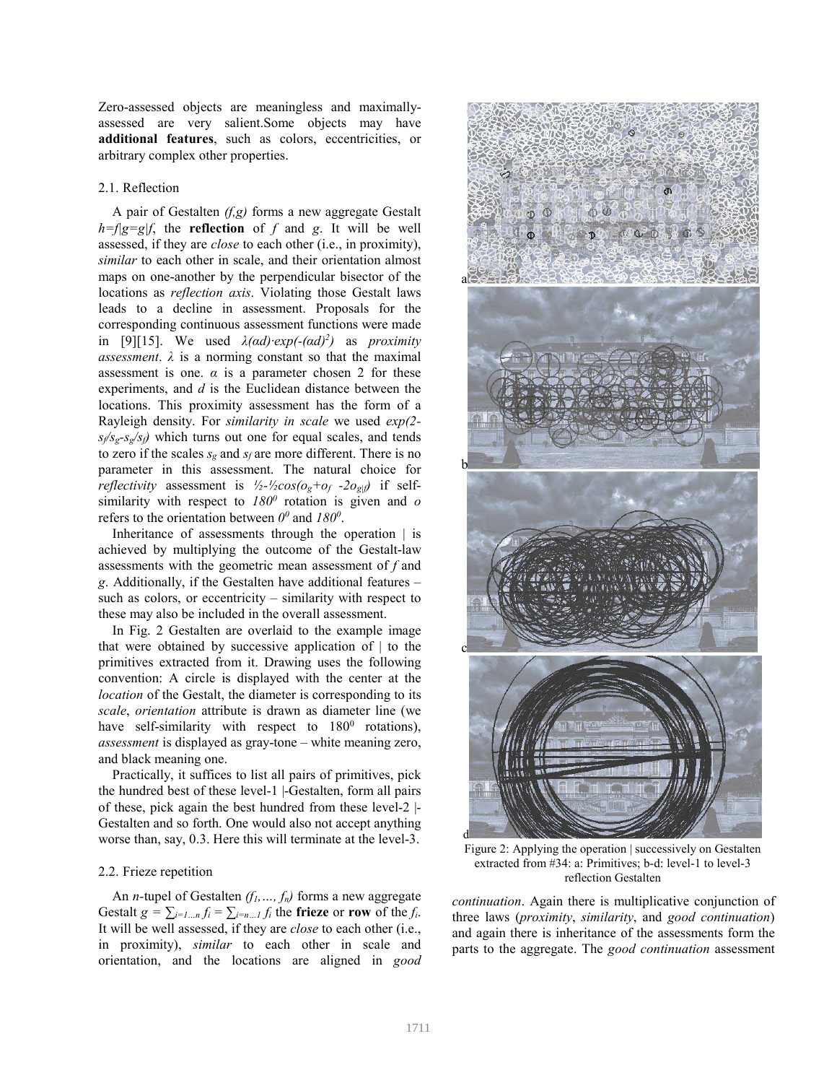Zero-assessed objects are meaningless and maximallyassessed are very salient.Some objects may have **additional features**, such as colors, eccentricities, or arbitrary complex other properties.

## 2.1. Reflection

A pair of Gestalten *(f,g)* forms a new aggregate Gestalt  $h=f|g=g|f$ , the **reflection** of *f* and *g*. It will be well assessed, if they are *close* to each other (i.e., in proximity), *similar* to each other in scale, and their orientation almost maps on one-another by the perpendicular bisector of the locations as *reflection axis*. Violating those Gestalt laws leads to a decline in assessment. Proposals for the corresponding continuous assessment functions were made in [9][15]. We used  $\lambda(ad)$ · $exp(-(ad)^2)$  as *proximity assessment*.  $\lambda$  is a norming constant so that the maximal assessment is one.  $\alpha$  is a parameter chosen 2 for these experiments, and *d* is the Euclidean distance between the locations. This proximity assessment has the form of a Rayleigh density. For *similarity in scale* we used *exp(2*  $s_f/s_g - s_g/s_f$  which turns out one for equal scales, and tends to zero if the scales  $s_g$  and  $s_f$  are more different. There is no parameter in this assessment. The natural choice for *reflectivity* assessment is  $\frac{1}{2}$ - $\frac{1}{2}$ cos(o<sub>g</sub>+o<sub>f</sub> -2o<sub>g|f</sub>) if selfsimilarity with respect to  $180^\circ$  rotation is given and *o* refers to the orientation between  $0^{\circ}$  and  $180^{\circ}$ .

Inheritance of assessments through the operation | is achieved by multiplying the outcome of the Gestalt-law assessments with the geometric mean assessment of *f* and *g*. Additionally, if the Gestalten have additional features – such as colors, or eccentricity – similarity with respect to these may also be included in the overall assessment.

In Fig. 2 Gestalten are overlaid to the example image that were obtained by successive application of  $\vert$  to the primitives extracted from it. Drawing uses the following convention: A circle is displayed with the center at the *location* of the Gestalt, the diameter is corresponding to its *scale*, *orientation* attribute is drawn as diameter line (we have self-similarity with respect to  $180^0$  rotations), *assessment* is displayed as gray-tone – white meaning zero, and black meaning one.

Practically, it suffices to list all pairs of primitives, pick the hundred best of these level-1 |-Gestalten, form all pairs of these, pick again the best hundred from these level-2 |- Gestalten and so forth. One would also not accept anything worse than, say, 0.3. Here this will terminate at the level-3.

# 2.2. Frieze repetition

An *n-*tupel of Gestalten *(f1,…, fn)* forms a new aggregate Gestalt  $g = \sum_{i=1...n} f_i = \sum_{i=n...1} f_i$  the frieze or row of the  $f_i$ . It will be well assessed, if they are *close* to each other (i.e., in proximity), *similar* to each other in scale and orientation, and the locations are aligned in *good* 



Figure 2: Applying the operation | successively on Gestalten extracted from #34: a: Primitives; b-d: level-1 to level-3 reflection Gestalten

*continuation*. Again there is multiplicative conjunction of three laws (*proximity*, *similarity*, and *good continuation*) and again there is inheritance of the assessments form the parts to the aggregate. The *good continuation* assessment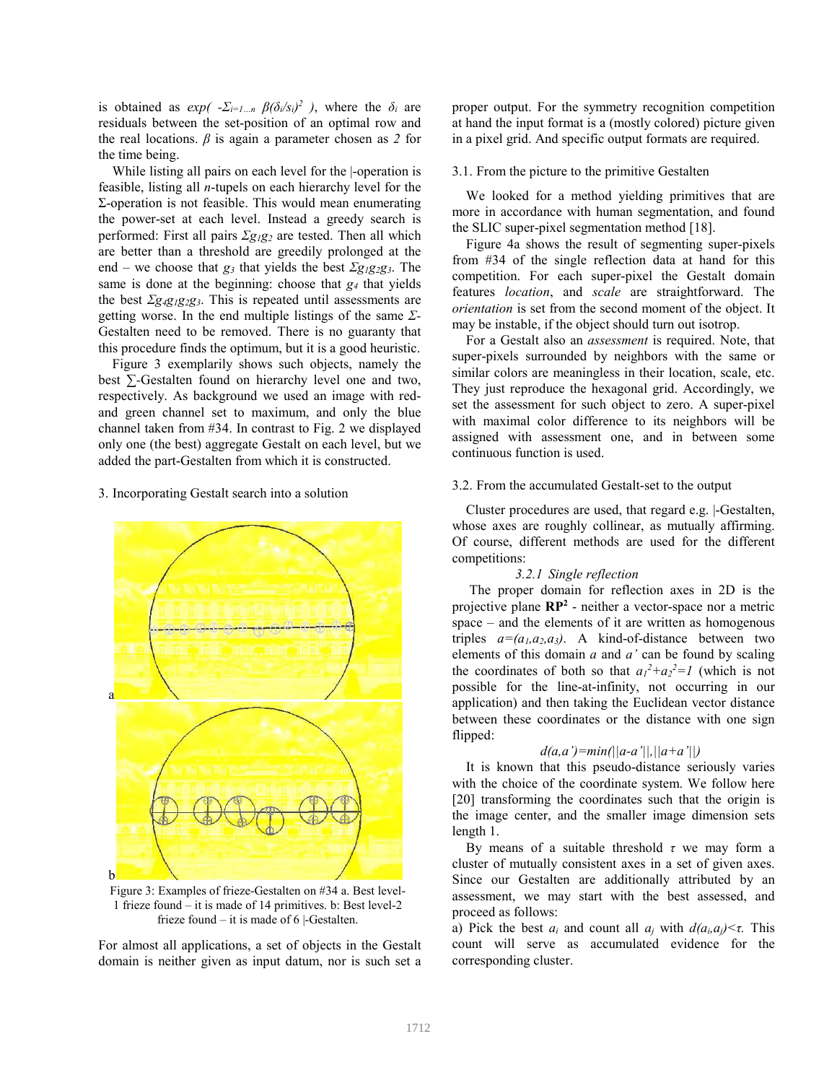is obtained as  $exp(-\sum_{i=1...n} \beta(\delta_i/s_i)^2)$ , where the  $\delta_i$  are residuals between the set-position of an optimal row and the real locations. *β* is again a parameter chosen as *2* for the time being.

While listing all pairs on each level for the |-operation is feasible, listing all *n*-tupels on each hierarchy level for the Σ-operation is not feasible. This would mean enumerating the power-set at each level. Instead a greedy search is performed: First all pairs *Σg1g2* are tested. Then all which are better than a threshold are greedily prolonged at the end – we choose that *g3* that yields the best *Σg1g2g3*. The same is done at the beginning: choose that *g4* that yields the best *Σg4g1g2g3*. This is repeated until assessments are getting worse. In the end multiple listings of the same *Σ-*Gestalten need to be removed. There is no guaranty that this procedure finds the optimum, but it is a good heuristic.

Figure 3 exemplarily shows such objects, namely the best *∑-*Gestalten found on hierarchy level one and two, respectively. As background we used an image with redand green channel set to maximum, and only the blue channel taken from #34. In contrast to Fig. 2 we displayed only one (the best) aggregate Gestalt on each level, but we added the part-Gestalten from which it is constructed.

## 3. Incorporating Gestalt search into a solution



Figure 3: Examples of frieze-Gestalten on #34 a. Best level-1 frieze found – it is made of 14 primitives. b: Best level-2 frieze found – it is made of 6 |-Gestalten.

For almost all applications, a set of objects in the Gestalt domain is neither given as input datum, nor is such set a proper output. For the symmetry recognition competition at hand the input format is a (mostly colored) picture given in a pixel grid. And specific output formats are required.

## 3.1. From the picture to the primitive Gestalten

We looked for a method yielding primitives that are more in accordance with human segmentation, and found the SLIC super-pixel segmentation method [18].

Figure 4a shows the result of segmenting super-pixels from #34 of the single reflection data at hand for this competition. For each super-pixel the Gestalt domain features *location*, and *scale* are straightforward. The *orientation* is set from the second moment of the object. It may be instable, if the object should turn out isotrop.

For a Gestalt also an *assessment* is required. Note, that super-pixels surrounded by neighbors with the same or similar colors are meaningless in their location, scale, etc. They just reproduce the hexagonal grid. Accordingly, we set the assessment for such object to zero. A super-pixel with maximal color difference to its neighbors will be assigned with assessment one, and in between some continuous function is used.

#### 3.2. From the accumulated Gestalt-set to the output

Cluster procedures are used, that regard e.g. |-Gestalten, whose axes are roughly collinear, as mutually affirming. Of course, different methods are used for the different competitions:

## *3.2.1 Single reflection*

 The proper domain for reflection axes in 2D is the projective plane **RP<sup>2</sup>** - neither a vector-space nor a metric space – and the elements of it are written as homogenous triples  $a=(a_1, a_2, a_3)$ . A kind-of-distance between two elements of this domain *a* and *a'* can be found by scaling the coordinates of both so that  $a_1^2 + a_2^2 = 1$  (which is not possible for the line-at-infinity, not occurring in our application) and then taking the Euclidean vector distance between these coordinates or the distance with one sign flipped:

## *d(a,a')=min(||a-a'||,||a+a'||)*

It is known that this pseudo-distance seriously varies with the choice of the coordinate system. We follow here [20] transforming the coordinates such that the origin is the image center, and the smaller image dimension sets length 1.

By means of a suitable threshold *τ* we may form a cluster of mutually consistent axes in a set of given axes. Since our Gestalten are additionally attributed by an assessment, we may start with the best assessed, and proceed as follows:

a) Pick the best  $a_i$  and count all  $a_j$  with  $d(a_i, a_j) < \tau$ . This count will serve as accumulated evidence for the corresponding cluster.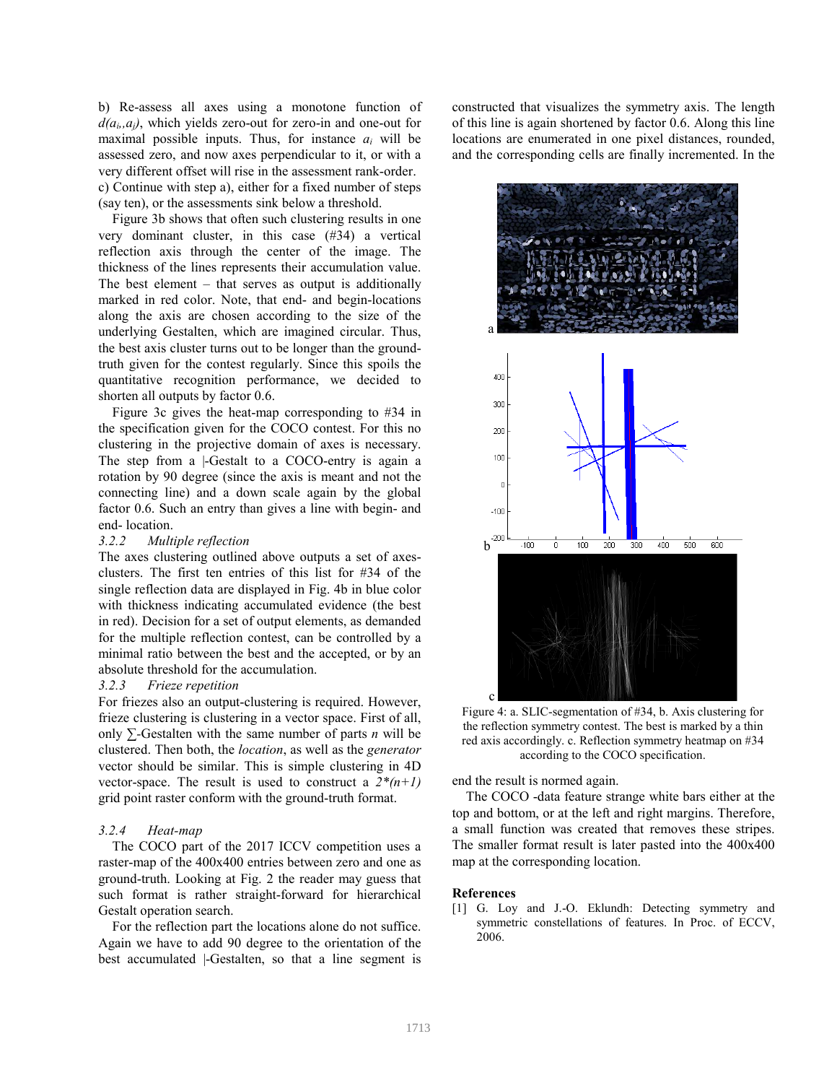b) Re-assess all axes using a monotone function of  $d(a_i, a_i)$ , which yields zero-out for zero-in and one-out for maximal possible inputs. Thus, for instance  $a_i$  will be assessed zero, and now axes perpendicular to it, or with a very different offset will rise in the assessment rank-order. c) Continue with step a), either for a fixed number of steps (say ten), or the assessments sink below a threshold.

Figure 3b shows that often such clustering results in one very dominant cluster, in this case (#34) a vertical reflection axis through the center of the image. The thickness of the lines represents their accumulation value. The best element – that serves as output is additionally marked in red color. Note, that end- and begin-locations along the axis are chosen according to the size of the underlying Gestalten, which are imagined circular. Thus, the best axis cluster turns out to be longer than the groundtruth given for the contest regularly. Since this spoils the quantitative recognition performance, we decided to shorten all outputs by factor 0.6.

Figure 3c gives the heat-map corresponding to #34 in the specification given for the COCO contest. For this no clustering in the projective domain of axes is necessary. The step from a -Gestalt to a COCO-entry is again a rotation by 90 degree (since the axis is meant and not the connecting line) and a down scale again by the global factor 0.6. Such an entry than gives a line with begin- and end- location.

#### *3.2.2 Multiple reflection*

The axes clustering outlined above outputs a set of axesclusters. The first ten entries of this list for #34 of the single reflection data are displayed in Fig. 4b in blue color with thickness indicating accumulated evidence (the best in red). Decision for a set of output elements, as demanded for the multiple reflection contest, can be controlled by a minimal ratio between the best and the accepted, or by an absolute threshold for the accumulation.

#### *3.2.3 Frieze repetition*

For friezes also an output-clustering is required. However, frieze clustering is clustering in a vector space. First of all, only *∑-*Gestalten with the same number of parts *n* will be clustered. Then both, the *location*, as well as the *generator* vector should be similar. This is simple clustering in 4D vector-space. The result is used to construct a  $2^{*(n+1)}$ grid point raster conform with the ground-truth format.

### *3.2.4 Heat-map*

The COCO part of the 2017 ICCV competition uses a raster-map of the 400x400 entries between zero and one as ground-truth. Looking at Fig. 2 the reader may guess that such format is rather straight-forward for hierarchical Gestalt operation search.

For the reflection part the locations alone do not suffice. Again we have to add 90 degree to the orientation of the best accumulated |-Gestalten, so that a line segment is constructed that visualizes the symmetry axis. The length of this line is again shortened by factor 0.6. Along this line locations are enumerated in one pixel distances, rounded, and the corresponding cells are finally incremented. In the



Figure 4: a. SLIC-segmentation of #34, b. Axis clustering for the reflection symmetry contest. The best is marked by a thin red axis accordingly. c. Reflection symmetry heatmap on #34 according to the COCO specification.

end the result is normed again.

The COCO -data feature strange white bars either at the top and bottom, or at the left and right margins. Therefore, a small function was created that removes these stripes. The smaller format result is later pasted into the 400x400 map at the corresponding location.

#### **References**

[1] G. Loy and J.-O. Eklundh: Detecting symmetry and symmetric constellations of features. In Proc. of ECCV, 2006.